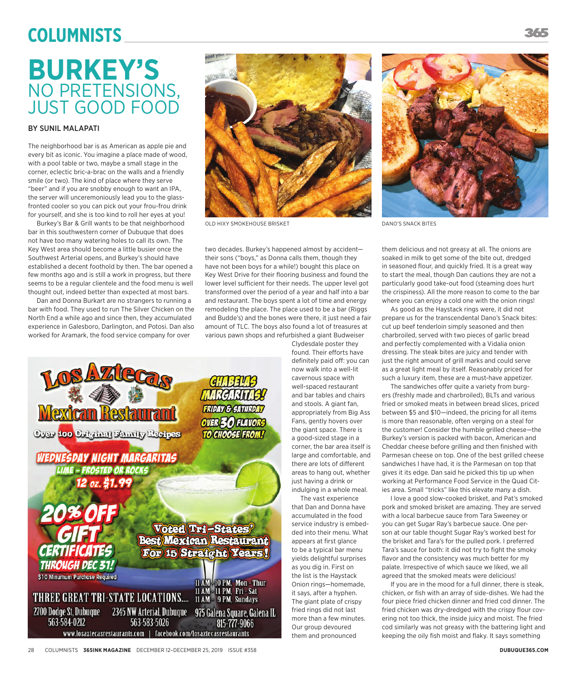# **Columnists**

## **BURKEY'S** NO PRETENSIONS, JUST GOOD FOOD

## BY SUNIL MALAPATI

The neighborhood bar is as American as apple pie and every bit as iconic. You imagine a place made of wood, with a pool table or two, maybe a small stage in the corner, eclectic bric-a-brac on the walls and a friendly smile (or two). The kind of place where they serve "beer" and if you are snobby enough to want an IPA, the server will unceremoniously lead you to the glassfronted cooler so you can pick out your frou-frou drink for yourself, and she is too kind to roll her eyes at you!

Burkey's Bar & Grill wants to be that neighborhood bar in this southwestern corner of Dubuque that does not have too many watering holes to call its own. The Key West area should become a little busier once the Southwest Arterial opens, and Burkey's should have established a decent foothold by then. The bar opened a few months ago and is still a work in progress, but there seems to be a regular clientele and the food menu is well thought out, indeed better than expected at most bars.

Dan and Donna Burkart are no strangers to running a bar with food. They used to run The Silver Chicken on the North End a while ago and since then, they accumulated experience in Galesboro, Darlington, and Potosi. Dan also worked for Aramark, the food service company for over



OLD HIXY SMOKEHOUSE BRISKET DANO'S SNACK BITES

two decades. Burkey's happened almost by accident their sons ("boys," as Donna calls them, though they have not been boys for a while!) bought this place on Key West Drive for their flooring business and found the lower level sufficient for their needs. The upper level got transformed over the period of a year and half into a bar and restaurant. The boys spent a lot of time and energy remodeling the place. The place used to be a bar (Riggs and Budde's) and the bones were there, it just need a fair amount of TLC. The boys also found a lot of treasures at various pawn shops and refurbished a giant Budweiser

Clydesdale poster they found. Their efforts have definitely paid off: you can now walk into a well-lit cavernous space with well-spaced restaurant and bar tables and chairs and stools. A giant fan, appropriately from Big Ass Fans, gently hovers over the giant space. There is a good-sized stage in a corner, the bar area itself is large and comfortable, and there are lots of different areas to hang out, whether just having a drink or indulging in a whole meal.

The vast experience that Dan and Donna have accumulated in the food service industry is embedded into their menu. What appears at first glance to be a typical bar menu yields delightful surprises as you dig in. First on the list is the Haystack Onion rings—homemade, it says, after a hyphen. The giant plate of crispy fried rings did not last more than a few minutes. Our group devoured them and pronounced



them delicious and not greasy at all. The onions are soaked in milk to get some of the bite out, dredged in seasoned flour, and quickly fried. It is a great way to start the meal, though Dan cautions they are not a particularly good take-out food (steaming does hurt the crispiness). All the more reason to come to the bar where you can enjoy a cold one with the onion rings!

As good as the Haystack rings were, it did not prepare us for the transcendental Dano's Snack bites: cut up beef tenderloin simply seasoned and then charbroiled, served with two pieces of garlic bread and perfectly complemented with a Vidalia onion dressing. The steak bites are juicy and tender with just the right amount of grill marks and could serve as a great light meal by itself. Reasonably priced for such a luxury item, these are a must-have appetizer.

The sandwiches offer quite a variety from burgers (freshly made and charbroiled), BLTs and various fried or smoked meats in between bread slices, priced between \$5 and \$10—indeed, the pricing for all items is more than reasonable, often verging on a steal for the customer! Consider the humble grilled cheese—the Burkey's version is packed with bacon, American and Cheddar cheese before grilling and then finished with Parmesan cheese on top. One of the best grilled cheese sandwiches I have had, it is the Parmesan on top that gives it its edge. Dan said he picked this tip up when working at Performance Food Service in the Quad Cities area. Small "tricks" like this elevate many a dish.

I love a good slow-cooked brisket, and Pat's smoked pork and smoked brisket are amazing. They are served with a local barbecue sauce from Tara Sweeney or you can get Sugar Ray's barbecue sauce. One person at our table thought Sugar Ray's worked best for the brisket and Tara's for the pulled pork. I preferred Tara's sauce for both: it did not try to fight the smoky flavor and the consistency was much better for my palate. Irrespective of which sauce we liked, we all agreed that the smoked meats were delicious!

If you are in the mood for a full dinner, there is steak, chicken, or fish with an array of side-dishes. We had the four piece fried chicken dinner and fried cod dinner. The fried chicken was dry-dredged with the crispy flour covering not too thick, the inside juicy and moist. The fried cod similarly was not greasy with the battering light and keeping the oily fish moist and flaky. It says something